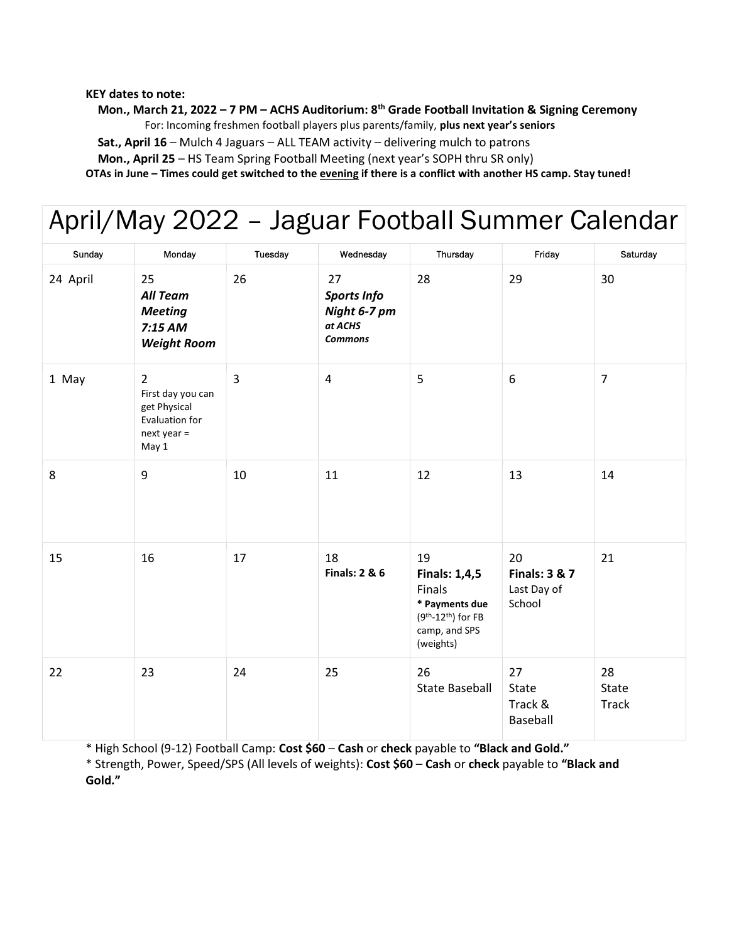KEY dates to note:

Mon., March 21, 2022 – 7 PM – ACHS Auditorium: 8<sup>th</sup> Grade Football Invitation & Signing Ceremony

For: Incoming freshmen football players plus parents/family, plus next year's seniors

Sat., April 16 – Mulch 4 Jaguars – ALL TEAM activity – delivering mulch to patrons

Mon., April 25 – HS Team Spring Football Meeting (next year's SOPH thru SR only)

OTAs in June – Times could get switched to the evening if there is a conflict with another HS camp. Stay tuned!

# April/May 2022 – Jaguar Football Summer Calendar

| Sunday   | Monday                                                                                          | Tuesday        | Wednesday                                                             | Thursday                                                                                                    | Friday                                                  | Saturday                    |
|----------|-------------------------------------------------------------------------------------------------|----------------|-----------------------------------------------------------------------|-------------------------------------------------------------------------------------------------------------|---------------------------------------------------------|-----------------------------|
| 24 April | 25<br><b>All Team</b><br><b>Meeting</b><br>7:15 AM<br><b>Weight Room</b>                        | 26             | 27<br><b>Sports Info</b><br>Night 6-7 pm<br>at ACHS<br><b>Commons</b> | 28                                                                                                          | 29                                                      | 30                          |
| 1 May    | $\overline{2}$<br>First day you can<br>get Physical<br>Evaluation for<br>$next$ year =<br>May 1 | $\overline{3}$ | 4                                                                     | 5                                                                                                           | 6                                                       | $\overline{7}$              |
| 8        | 9                                                                                               | 10             | 11                                                                    | 12                                                                                                          | 13                                                      | 14                          |
| 15       | 16                                                                                              | 17             | 18<br><b>Finals: 2 &amp; 6</b>                                        | 19<br><b>Finals: 1,4,5</b><br>Finals<br>* Payments due<br>$(9th-12th)$ for FB<br>camp, and SPS<br>(weights) | 20<br><b>Finals: 3 &amp; 7</b><br>Last Day of<br>School | 21                          |
| 22       | 23                                                                                              | 24             | 25                                                                    | 26<br><b>State Baseball</b>                                                                                 | 27<br>State<br>Track &<br>Baseball                      | 28<br>State<br><b>Track</b> |

\* High School (9-12) Football Camp: Cost \$60 – Cash or check payable to "Black and Gold."

\* Strength, Power, Speed/SPS (All levels of weights): Cost \$60 – Cash or check payable to "Black and Gold."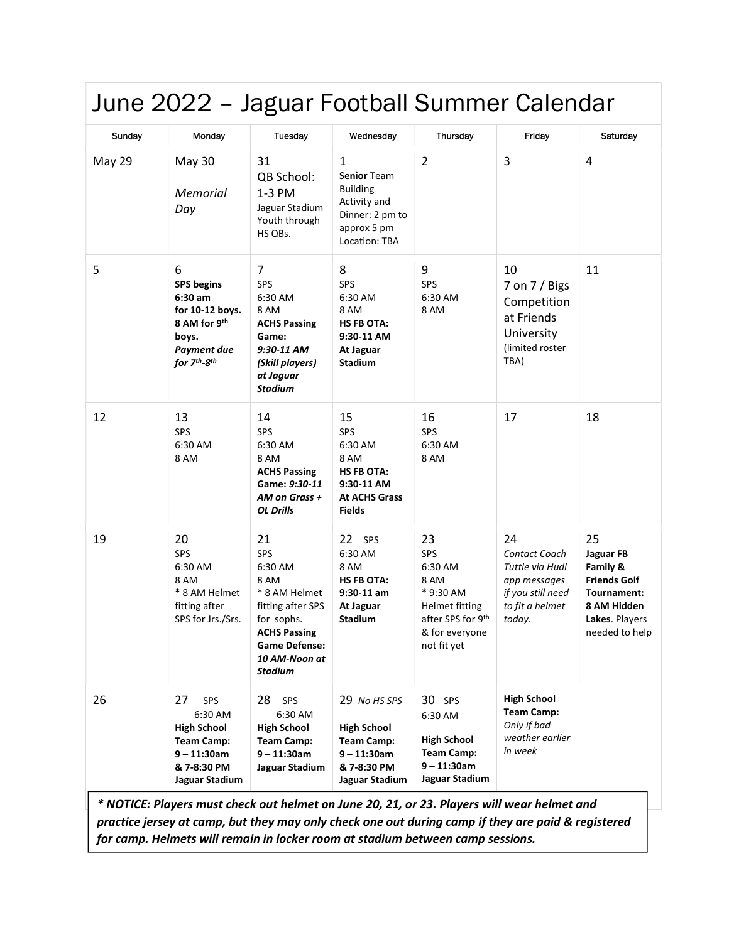| June 2022 - Jaguar Football Summer Calendar |                                                                                                                                               |                                                                                                                                                                    |                                                                                                                          |                                                                                                                          |                                                                                                          |                                                                                                                      |
|---------------------------------------------|-----------------------------------------------------------------------------------------------------------------------------------------------|--------------------------------------------------------------------------------------------------------------------------------------------------------------------|--------------------------------------------------------------------------------------------------------------------------|--------------------------------------------------------------------------------------------------------------------------|----------------------------------------------------------------------------------------------------------|----------------------------------------------------------------------------------------------------------------------|
| Sunday                                      | Monday                                                                                                                                        | Tuesday                                                                                                                                                            | Wednesday                                                                                                                | Thursday                                                                                                                 | Friday                                                                                                   | Saturday                                                                                                             |
| <b>May 29</b>                               | <b>May 30</b><br>Memorial<br>Day                                                                                                              | 31<br>QB School:<br>1-3 PM<br>Jaguar Stadium<br>Youth through<br>HS QBs.                                                                                           | $\mathbf{1}$<br><b>Senior Team</b><br><b>Building</b><br>Activity and<br>Dinner: 2 pm to<br>approx 5 pm<br>Location: TBA | $\overline{2}$                                                                                                           | $\overline{3}$                                                                                           | $\overline{4}$                                                                                                       |
| 5                                           | 6<br><b>SPS</b> begins<br>$6:30$ am<br>for 10-12 boys.<br>8 AM for 9th<br>boys.<br><b>Payment due</b><br>for 7 <sup>th</sup> -8 <sup>th</sup> | 7<br><b>SPS</b><br>6:30 AM<br>8 AM<br><b>ACHS Passing</b><br>Game:<br>9:30-11 AM<br>(Skill players)<br>at Jaguar<br>Stadium                                        | 8<br><b>SPS</b><br>6:30 AM<br>8 AM<br><b>HS FB OTA:</b><br>9:30-11 AM<br>At Jaguar<br><b>Stadium</b>                     | 9<br>SPS<br>6:30 AM<br>8 AM                                                                                              | 10<br>7 on 7 / Bigs<br>Competition<br>at Friends<br>University<br>(limited roster<br>TBA)                | 11                                                                                                                   |
| 12                                          | 13<br>SPS<br>6:30 AM<br>8 AM                                                                                                                  | 14<br>SPS<br>6:30 AM<br>8 AM<br><b>ACHS Passing</b><br>Game: 9:30-11<br>AM on Grass +<br><b>OL Drills</b>                                                          | 15<br>SPS<br>6:30 AM<br>8 AM<br><b>HS FB OTA:</b><br>9:30-11 AM<br><b>At ACHS Grass</b><br><b>Fields</b>                 | 16<br>SPS<br>6:30 AM<br>8 AM                                                                                             | 17                                                                                                       | 18                                                                                                                   |
| 19                                          | 20<br><b>SPS</b><br>6:30 AM<br>8 AM<br>* 8 AM Helmet<br>fitting after<br>SPS for Jrs./Srs.                                                    | 21<br>SPS<br>6:30 AM<br>8 AM<br>* 8 AM Helmet<br>fitting after SPS<br>for sophs.<br><b>ACHS Passing</b><br><b>Game Defense:</b><br>10 AM-Noon at<br><b>Stadium</b> | 22 SPS<br>6:30 AM<br>8 AM<br><b>HS FB OTA:</b><br>$9:30-11$ am<br>At Jaguar<br><b>Stadium</b>                            | 23<br>SPS<br>6:30 AM<br>8 AM<br>* 9:30 AM<br><b>Helmet fitting</b><br>after SPS for 9th<br>& for everyone<br>not fit yet | 24<br>Contact Coach<br>Tuttle via Hudl<br>app messages<br>if you still need<br>to fit a helmet<br>today. | 25<br>Jaguar FB<br>Family &<br><b>Friends Golf</b><br>Tournament:<br>8 AM Hidden<br>Lakes. Players<br>needed to help |
| 26                                          | 27<br>SPS<br>6:30 AM<br><b>High School</b><br><b>Team Camp:</b><br>$9 - 11:30$ am<br>& 7-8:30 PM<br>Jaguar Stadium                            | 28<br>SPS<br>6:30 AM<br><b>High School</b><br><b>Team Camp:</b><br>9 – 11:30am<br>Jaguar Stadium                                                                   | 29 No HS SPS<br><b>High School</b><br><b>Team Camp:</b><br>$9 - 11:30$ am<br>& 7-8:30 PM<br>Jaguar Stadium               | 30 SPS<br>6:30 AM<br><b>High School</b><br><b>Team Camp:</b><br>$9 - 11:30$ am<br>Jaguar Stadium                         | <b>High School</b><br><b>Team Camp:</b><br>Only if bad<br>weather earlier<br>in week                     |                                                                                                                      |

\* NOTICE: Players must check out helmet on June 20, 21, or 23. Players will wear helmet and practice jersey at camp, but they may only check one out during camp if they are paid & registered for camp. Helmets will remain in locker room at stadium between camp sessions.

 $\overline{\phantom{a}}$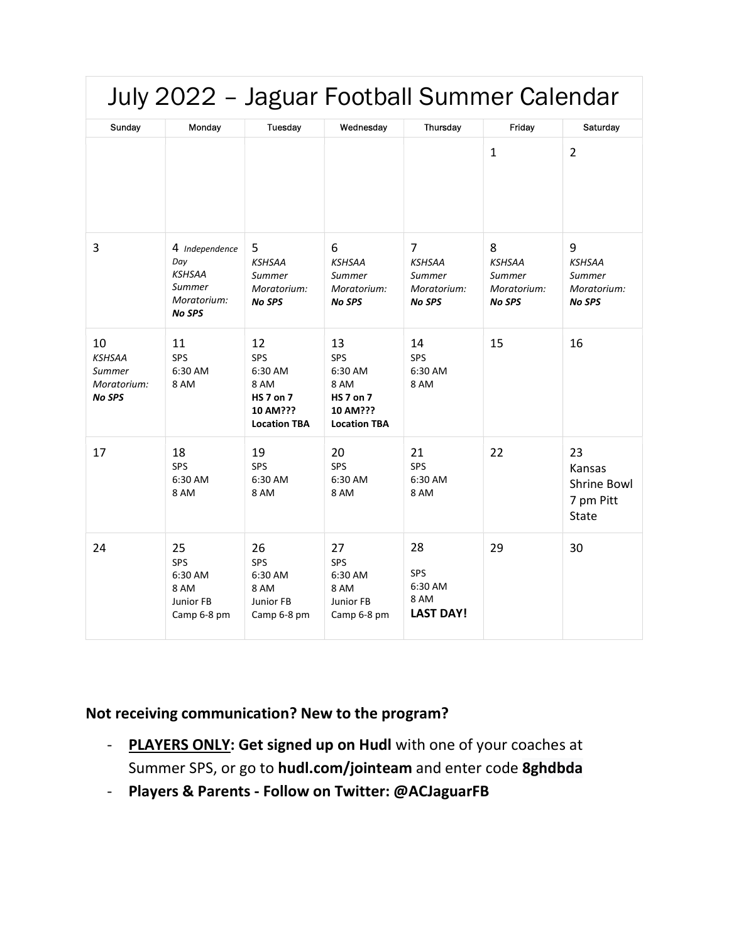| July 2022 - Jaguar Football Summer Calendar                   |                                                                                  |                                                                                     |                                                                                     |                                                                           |                                                              |                                                              |
|---------------------------------------------------------------|----------------------------------------------------------------------------------|-------------------------------------------------------------------------------------|-------------------------------------------------------------------------------------|---------------------------------------------------------------------------|--------------------------------------------------------------|--------------------------------------------------------------|
| Sunday                                                        | Monday                                                                           | Tuesday                                                                             | Wednesday                                                                           | Thursday                                                                  | Friday                                                       | Saturday                                                     |
|                                                               |                                                                                  |                                                                                     |                                                                                     |                                                                           | $\mathbf{1}$                                                 | $\overline{2}$                                               |
| 3                                                             | 4 Independence<br>Day<br><b>KSHSAA</b><br>Summer<br>Moratorium:<br><b>No SPS</b> | 5<br><b>KSHSAA</b><br>Summer<br>Moratorium:<br><b>No SPS</b>                        | 6<br><b>KSHSAA</b><br>Summer<br>Moratorium:<br><b>No SPS</b>                        | $\overline{7}$<br><b>KSHSAA</b><br>Summer<br>Moratorium:<br><b>No SPS</b> | 8<br><b>KSHSAA</b><br>Summer<br>Moratorium:<br><b>No SPS</b> | 9<br><b>KSHSAA</b><br>Summer<br>Moratorium:<br><b>No SPS</b> |
| 10<br><b>KSHSAA</b><br>Summer<br>Moratorium:<br><b>No SPS</b> | 11<br>SPS<br>6:30 AM<br>8 AM                                                     | 12<br>SPS<br>6:30 AM<br>8 AM<br><b>HS 7 on 7</b><br>10 AM???<br><b>Location TBA</b> | 13<br>SPS<br>6:30 AM<br>8 AM<br><b>HS 7 on 7</b><br>10 AM???<br><b>Location TBA</b> | 14<br><b>SPS</b><br>6:30 AM<br>8 AM                                       | 15                                                           | 16                                                           |
| 17                                                            | 18<br>SPS<br>6:30 AM<br>8 AM                                                     | 19<br>SPS<br>6:30 AM<br>8 AM                                                        | 20<br><b>SPS</b><br>6:30 AM<br>8 AM                                                 | 21<br>SPS<br>6:30 AM<br>8 AM                                              | 22                                                           | 23<br>Kansas<br>Shrine Bowl<br>7 pm Pitt<br><b>State</b>     |
| 24                                                            | 25<br>SPS<br>6:30 AM<br>8 AM<br>Junior FB<br>Camp 6-8 pm                         | 26<br>SPS<br>6:30 AM<br>8 AM<br>Junior FB<br>Camp 6-8 pm                            | 27<br>SPS<br>6:30 AM<br>8 AM<br>Junior FB<br>Camp 6-8 pm                            | 28<br><b>SPS</b><br>6:30 AM<br>8 AM<br><b>LAST DAY!</b>                   | 29                                                           | 30                                                           |

### Not receiving communication? New to the program?

- PLAYERS ONLY: Get signed up on Hudl with one of your coaches at Summer SPS, or go to hudl.com/jointeam and enter code 8ghdbda
- Players & Parents Follow on Twitter: @ACJaguarFB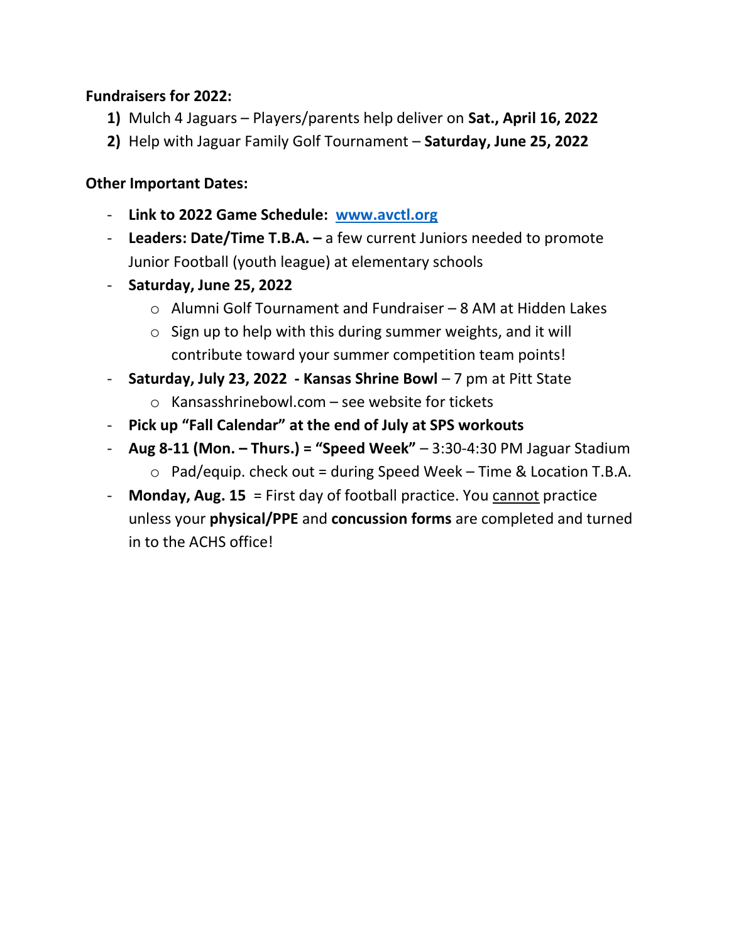#### Fundraisers for 2022:

- 1) Mulch 4 Jaguars Players/parents help deliver on Sat., April 16, 2022
- 2) Help with Jaguar Family Golf Tournament Saturday, June 25, 2022

#### Other Important Dates:

- Link to 2022 Game Schedule: www.avctl.org
- Leaders: Date/Time  $T.B.A. a few current Juniors needed to promote$ Junior Football (youth league) at elementary schools
- Saturday, June 25, 2022
	- o Alumni Golf Tournament and Fundraiser 8 AM at Hidden Lakes
	- $\circ$  Sign up to help with this during summer weights, and it will contribute toward your summer competition team points!
- Saturday, July 23, 2022 Kansas Shrine Bowl  $-7$  pm at Pitt State
	- $\circ$  Kansasshrinebowl.com see website for tickets
- Pick up "Fall Calendar" at the end of July at SPS workouts
- Aug 8-11 (Mon. Thurs.) = "Speed Week"  $-3:30-4:30$  PM Jaguar Stadium  $\circ$  Pad/equip. check out = during Speed Week – Time & Location T.B.A.
- Monday, Aug.  $15$  = First day of football practice. You cannot practice unless your physical/PPE and concussion forms are completed and turned in to the ACHS office!